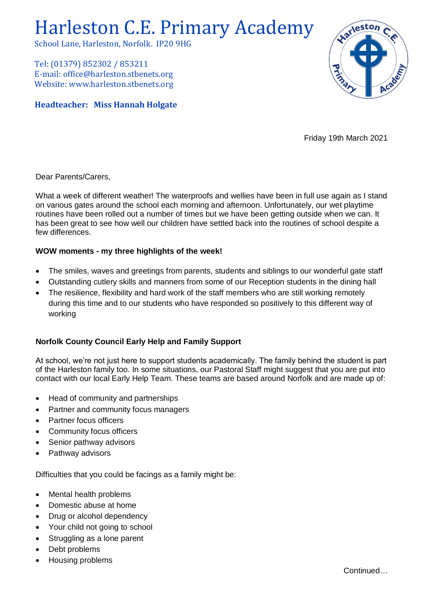# Harleston C.E. Primary Academy

School Lane, Harleston, Norfolk. IP20 9HG

Tel: (01379) 852302 / 853211 E-mail: office@harleston.stbenets.org Website: www.harleston.stbenets.org

# **Headteacher: Miss Hannah Holgate**



Friday 19th March 2021

Dear Parents/Carers,

What a week of different weather! The waterproofs and wellies have been in full use again as I stand on various gates around the school each morning and afternoon. Unfortunately, our wet playtime routines have been rolled out a number of times but we have been getting outside when we can. It has been great to see how well our children have settled back into the routines of school despite a few differences.

## **WOW moments - my three highlights of the week!**

- The smiles, waves and greetings from parents, students and siblings to our wonderful gate staff
- Outstanding cutlery skills and manners from some of our Reception students in the dining hall
- The resilience, flexibility and hard work of the staff members who are still working remotely during this time and to our students who have responded so positively to this different way of working

## **Norfolk County Council Early Help and Family Support**

At school, we're not just here to support students academically. The family behind the student is part of the Harleston family too. In some situations, our Pastoral Staff might suggest that you are put into contact with our local Early Help Team. These teams are based around Norfolk and are made up of:

- Head of community and partnerships
- Partner and community focus managers
- Partner focus officers
- Community focus officers
- Senior pathway advisors
- Pathway advisors

Difficulties that you could be facings as a family might be:

- Mental health problems
- Domestic abuse at home
- Drug or alcohol dependency
- Your child not going to school
- Struggling as a lone parent
- Debt problems
- Housing problems